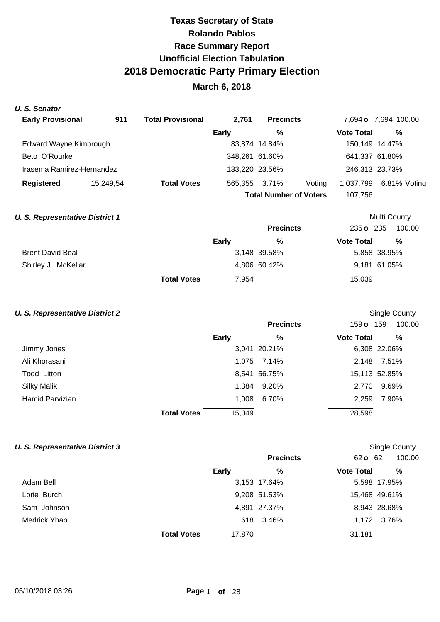## **March 6, 2018**

#### **U. S. Senator**

| <b>Early Provisional</b>               | 911       | <b>Total Provisional</b> | 2.761        | <b>Precincts</b>              |        |                   | 7,694 <b>o</b> 7,694 100.00 |
|----------------------------------------|-----------|--------------------------|--------------|-------------------------------|--------|-------------------|-----------------------------|
|                                        |           |                          | <b>Early</b> | %                             |        | <b>Vote Total</b> | %                           |
| Edward Wayne Kimbrough                 |           |                          |              | 83,874 14.84%                 |        |                   | 150,149 14.47%              |
| Beto O'Rourke                          |           |                          |              | 348,261 61.60%                |        |                   | 641,337 61.80%              |
| Irasema Ramirez-Hernandez              |           |                          |              | 133,220 23.56%                |        |                   | 246,313 23.73%              |
| <b>Registered</b>                      | 15,249,54 | <b>Total Votes</b>       |              | 565,355 3.71%                 | Voting | 1,037,799         | 6.81% Voting                |
|                                        |           |                          |              | <b>Total Number of Voters</b> |        | 107.756           |                             |
| <b>U. S. Representative District 1</b> |           |                          |              |                               |        |                   | Multi County                |

|                         |                    |       | <b>Precincts</b> | 235 o 235         | 100.00       |
|-------------------------|--------------------|-------|------------------|-------------------|--------------|
|                         |                    | Early | %                | <b>Vote Total</b> | $\%$         |
| <b>Brent David Beal</b> |                    |       | 3,148 39.58%     |                   | 5,858 38.95% |
| Shirley J. McKellar     |                    |       | 4,806 60.42%     |                   | 9,181 61.05% |
|                         | <b>Total Votes</b> | 7.954 |                  | 15,039            |              |

#### **U. S. Representative District 2 U. S. Representative District 2 Single County**

|                    |                    |        | <b>Precincts</b> | 159 <b>o</b> 159  | 100.00        |
|--------------------|--------------------|--------|------------------|-------------------|---------------|
|                    |                    | Early  | %                | <b>Vote Total</b> | %             |
| Jimmy Jones        |                    |        | 3,041 20.21%     |                   | 6,308 22.06%  |
| Ali Khorasani      |                    |        | 1.075 7.14%      |                   | 2,148 7.51%   |
| Todd Litton        |                    |        | 8,541 56.75%     |                   | 15,113 52.85% |
| <b>Silky Malik</b> |                    | 1,384  | 9.20%            | 2.770             | 9.69%         |
| Hamid Parvizian    |                    | 1,008  | 6.70%            | 2,259             | 7.90%         |
|                    | <b>Total Votes</b> | 15,049 |                  | 28,598            |               |

# **U. S. Representative District 3 Single County County County Presents**

|                 | Single County |
|-----------------|---------------|
| ດລັດ <i>ດ</i> ລ | 1ሰሰ ሰሰ        |

|              |                              | <b>Precincts</b> | 620 62            | 100.00        |
|--------------|------------------------------|------------------|-------------------|---------------|
|              | <b>Early</b>                 | $\frac{0}{0}$    | <b>Vote Total</b> | %             |
| Adam Bell    |                              | 3,153 17.64%     |                   | 5,598 17.95%  |
| Lorie Burch  |                              | 9,208 51.53%     |                   | 15,468 49.61% |
| Sam Johnson  |                              | 4,891 27.37%     |                   | 8,943 28.68%  |
| Medrick Yhap |                              | 618 3.46%        |                   | 1,172 3.76%   |
|              | <b>Total Votes</b><br>17,870 |                  | 31,181            |               |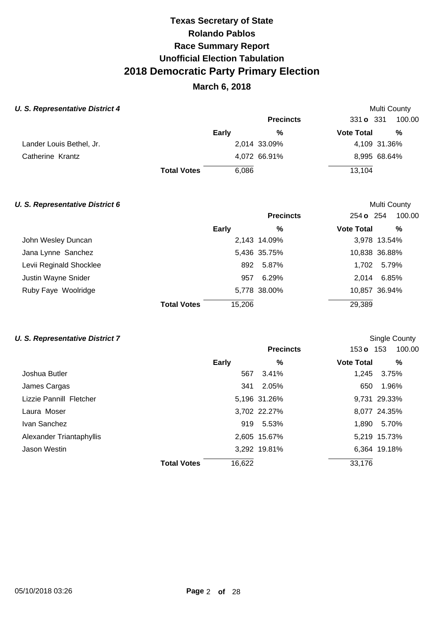## **March 6, 2018**

#### **U. S. Representative District 4 Multi County Multi County Multi County Multi County**

|                          |                    |       | <b>Precincts</b> | 331 o 331         | 100.00       |
|--------------------------|--------------------|-------|------------------|-------------------|--------------|
|                          |                    | Early | %                | <b>Vote Total</b> | %            |
| Lander Louis Bethel, Jr. |                    |       | 2,014 33.09%     |                   | 4,109 31.36% |
| Catherine Krantz         |                    |       | 4,072 66.91%     |                   | 8,995 68.64% |
|                          | <b>Total Votes</b> | 6,086 |                  | 13,104            |              |

#### **U. S. Representative District 6 Multi County Multi County Multi County**

|                         |                    |        | <b>Precincts</b> | 254 <b>o</b> 254  | 100.00        |
|-------------------------|--------------------|--------|------------------|-------------------|---------------|
|                         |                    | Early  | %                | <b>Vote Total</b> | %             |
| John Wesley Duncan      |                    |        | 2,143 14.09%     |                   | 3,978 13.54%  |
| Jana Lynne Sanchez      |                    |        | 5,436 35.75%     |                   | 10,838 36.88% |
| Levii Reginald Shocklee |                    |        | 892 5.87%        | 1.702             | 5.79%         |
| Justin Wayne Snider     |                    | 957    | 6.29%            | 2.014             | 6.85%         |
| Ruby Faye Woolridge     |                    |        | 5,778 38.00%     |                   | 10,857 36.94% |
|                         | <b>Total Votes</b> | 15,206 |                  | 29,389            |               |

#### **U. S. Representative District 7 U. S. Representative District 7 Single County**

|                          |                    |        | <b>Precincts</b> | 153 $\sigma$ 153  | 100.00       |
|--------------------------|--------------------|--------|------------------|-------------------|--------------|
|                          |                    | Early  | %                | <b>Vote Total</b> | %            |
| Joshua Butler            |                    | 567    | 3.41%            | 1,245             | 3.75%        |
| James Cargas             |                    | 341    | 2.05%            | 650               | 1.96%        |
| Lizzie Pannill Fletcher  |                    |        | 5,196 31.26%     |                   | 9,731 29.33% |
| Laura Moser              |                    |        | 3,702 22.27%     |                   | 8,077 24.35% |
| Ivan Sanchez             |                    | 919    | 5.53%            | 1,890             | 5.70%        |
| Alexander Triantaphyllis |                    |        | 2,605 15.67%     |                   | 5,219 15.73% |
| Jason Westin             |                    |        | 3,292 19.81%     |                   | 6,364 19.18% |
|                          | <b>Total Votes</b> | 16,622 |                  | 33,176            |              |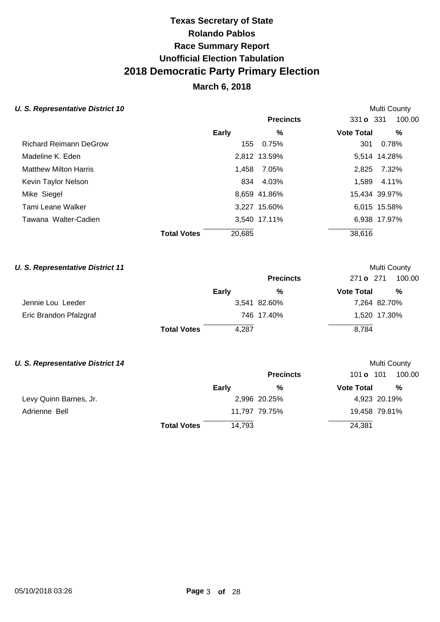## **March 6, 2018**

### **U. S. Representative District 10 Multi County Multi County Multi County**

|                               |                    |              | <b>Precincts</b> | 331 <b>o</b> 331  | 100.00        |
|-------------------------------|--------------------|--------------|------------------|-------------------|---------------|
|                               |                    | <b>Early</b> | $\frac{9}{6}$    | <b>Vote Total</b> | $\frac{9}{6}$ |
| <b>Richard Reimann DeGrow</b> |                    | 155          | 0.75%            | 301               | 0.78%         |
| Madeline K. Eden              |                    |              | 2,812 13.59%     |                   | 5,514 14.28%  |
| <b>Matthew Milton Harris</b>  |                    | 1,458        | 7.05%            | 2,825             | 7.32%         |
| Kevin Taylor Nelson           |                    | 834          | 4.03%            |                   | 1,589 4.11%   |
| Mike Siegel                   |                    |              | 8,659 41.86%     |                   | 15,434 39.97% |
| Tami Leane Walker             |                    |              | 3,227 15.60%     |                   | 6,015 15.58%  |
| Tawana Walter-Cadien          |                    |              | 3,540 17.11%     |                   | 6,938 17.97%  |
|                               | <b>Total Votes</b> | 20,685       |                  | 38,616            |               |

#### **U. S. Representative District 11 Multi County Multi County Multi County**

|                        |                    |       | <b>Precincts</b> | 271 <b>o</b> 271  | 100.00       |
|------------------------|--------------------|-------|------------------|-------------------|--------------|
|                        |                    | Early | %                | <b>Vote Total</b> | %            |
| Jennie Lou Leeder      |                    |       | 3,541 82.60%     |                   | 7,264 82.70% |
| Eric Brandon Pfalzgraf |                    |       | 746 17.40%       |                   | 1,520 17.30% |
|                        | <b>Total Votes</b> | 4,287 |                  | 8,784             |              |

#### **U. S. Representative District 14 Multi County Multi County Multi County**

|                        |                    |              | <b>Precincts</b> | 101 <b>o</b> 101  | 100.00        |
|------------------------|--------------------|--------------|------------------|-------------------|---------------|
|                        |                    | <b>Early</b> | %                | <b>Vote Total</b> | %             |
| Levy Quinn Barnes, Jr. |                    |              | 2,996 20.25%     |                   | 4,923 20.19%  |
| Adrienne Bell          |                    |              | 11,797 79.75%    |                   | 19,458 79.81% |
|                        | <b>Total Votes</b> | 14.793       |                  | 24,381            |               |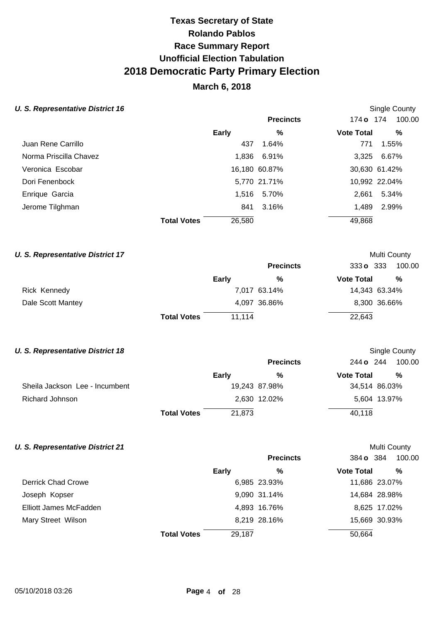## **March 6, 2018**

#### **U. S. Representative District 16 Single County County Single County Single County**

|                        |                    |        | <b>Precincts</b> | 174 o 174         | 100.00        |
|------------------------|--------------------|--------|------------------|-------------------|---------------|
|                        |                    |        |                  |                   |               |
|                        |                    | Early  | %                | <b>Vote Total</b> | %             |
| Juan Rene Carrillo     |                    | 437    | 1.64%            | 771               | 1.55%         |
| Norma Priscilla Chavez |                    | 1,836  | 6.91%            | 3,325             | 6.67%         |
| Veronica Escobar       |                    |        | 16,180 60.87%    |                   | 30,630 61.42% |
| Dori Fenenbock         |                    |        | 5,770 21.71%     |                   | 10,992 22.04% |
| Enrique Garcia         |                    | 1,516  | 5.70%            | 2,661             | 5.34%         |
| Jerome Tilghman        |                    | 841    | 3.16%            | 1,489             | 2.99%         |
|                        | <b>Total Votes</b> | 26,580 |                  | 49,868            |               |

#### **U. S. Representative District 17 Multi County Multi County Multi County**

|                   |                    |        | <b>Precincts</b> | 333 <b>o</b> 333  | 100.00        |
|-------------------|--------------------|--------|------------------|-------------------|---------------|
|                   |                    | Early  | %                | <b>Vote Total</b> | %             |
| Rick Kennedy      |                    |        | 7,017 63.14%     |                   | 14,343 63.34% |
| Dale Scott Mantey |                    |        | 4,097 36.86%     |                   | 8,300 36.66%  |
|                   | <b>Total Votes</b> | 11,114 |                  | 22,643            |               |

#### **U. S. Representative District 18 U. S. Representative District 18**

|                                |                    |        | <b>Precincts</b> | 244 o 244         | 100.00        |
|--------------------------------|--------------------|--------|------------------|-------------------|---------------|
|                                |                    | Early  | %                | <b>Vote Total</b> | %             |
| Sheila Jackson Lee - Incumbent |                    |        | 19,243 87.98%    |                   | 34,514 86.03% |
| Richard Johnson                |                    |        | 2,630 12.02%     |                   | 5,604 13.97%  |
|                                | <b>Total Votes</b> | 21,873 |                  | 40,118            |               |

#### **U. S. Representative District 21 Multi County Multi County Multi County**

|                           |                              | <b>Precincts</b> | 384 <b>o</b> 384  | 100.00        |
|---------------------------|------------------------------|------------------|-------------------|---------------|
|                           | <b>Early</b>                 | %                | <b>Vote Total</b> | %             |
| <b>Derrick Chad Crowe</b> |                              | 6,985 23.93%     |                   | 11,686 23.07% |
| Joseph Kopser             |                              | 9,090 31.14%     |                   | 14,684 28.98% |
| Elliott James McFadden    |                              | 4,893 16.76%     |                   | 8,625 17.02%  |
| Mary Street Wilson        |                              | 8,219 28.16%     |                   | 15,669 30.93% |
|                           | 29,187<br><b>Total Votes</b> |                  | 50,664            |               |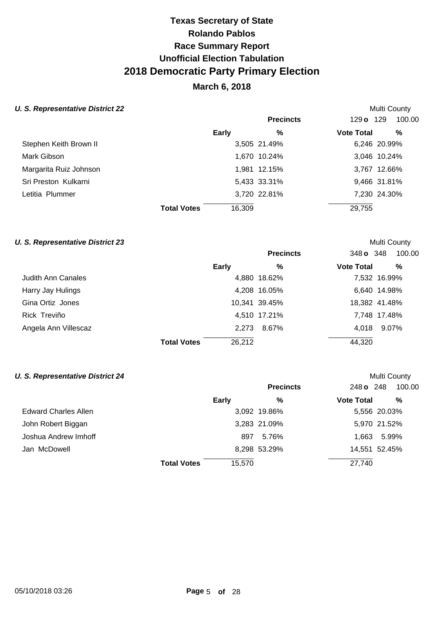## **March 6, 2018**

### **U. S. Representative District 22 Multi County Multi County Multi County**

|                        |                              | <b>Precincts</b> | 129 <b>o</b> 129  | 100.00       |
|------------------------|------------------------------|------------------|-------------------|--------------|
|                        | Early                        | %                | <b>Vote Total</b> | %            |
| Stephen Keith Brown II |                              | 3,505 21.49%     |                   | 6,246 20.99% |
| Mark Gibson            |                              | 1,670 10.24%     |                   | 3,046 10.24% |
| Margarita Ruiz Johnson |                              | 1,981 12.15%     |                   | 3,767 12.66% |
| Sri Preston Kulkarni   |                              | 5,433 33.31%     |                   | 9,466 31.81% |
| Letitia Plummer        |                              | 3,720 22.81%     |                   | 7,230 24.30% |
|                        | 16,309<br><b>Total Votes</b> |                  | 29,755            |              |

#### **U. S. Representative District 23 Multi County Multi County Multi County**

|                      |                    |        | <b>Precincts</b> | 348 <b>o</b> 348  | 100.00        |
|----------------------|--------------------|--------|------------------|-------------------|---------------|
|                      | Early              |        | %                | <b>Vote Total</b> | %             |
| Judith Ann Canales   |                    |        | 4,880 18.62%     |                   | 7,532 16.99%  |
| Harry Jay Hulings    |                    |        | 4,208 16.05%     |                   | 6,640 14.98%  |
| Gina Ortiz Jones     |                    |        | 10,341 39.45%    |                   | 18,382 41.48% |
| Rick Treviño         |                    |        | 4,510 17.21%     |                   | 7,748 17.48%  |
| Angela Ann Villescaz |                    | 2.273  | 8.67%            | 4.018             | 9.07%         |
|                      | <b>Total Votes</b> | 26,212 |                  | 44,320            |               |

#### **U. S. Representative District 24 Multi County Multi County Multi County**

|                             |                    |              | <b>Precincts</b> | 248 o 248         | 100.00        |
|-----------------------------|--------------------|--------------|------------------|-------------------|---------------|
|                             |                    | <b>Early</b> | %                | <b>Vote Total</b> | %             |
| <b>Edward Charles Allen</b> |                    |              | 3,092 19.86%     |                   | 5,556 20.03%  |
| John Robert Biggan          |                    |              | 3,283 21.09%     |                   | 5,970 21.52%  |
| Joshua Andrew Imhoff        |                    | 897          | 5.76%            | 1.663             | 5.99%         |
| Jan McDowell                |                    |              | 8,298 53.29%     |                   | 14,551 52.45% |
|                             | <b>Total Votes</b> | 15,570       |                  | 27,740            |               |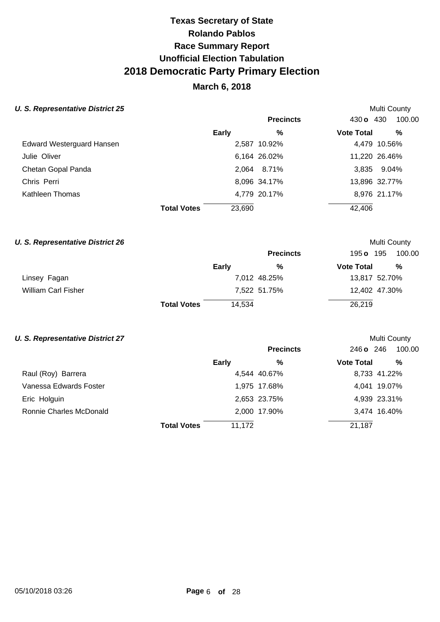## **March 6, 2018**

### **U. S. Representative District 25 Multi County Multi County Multi County**

|                                  |                              | <b>Precincts</b> | 430 <b>o</b> 430  | 100.00        |
|----------------------------------|------------------------------|------------------|-------------------|---------------|
|                                  | Early                        | %                | <b>Vote Total</b> | %             |
| <b>Edward Westerguard Hansen</b> |                              | 2,587 10.92%     |                   | 4,479 10.56%  |
| Julie Oliver                     |                              | 6,164 26.02%     |                   | 11,220 26.46% |
| Chetan Gopal Panda               |                              | 2,064 8.71%      |                   | 3,835 9.04%   |
| Chris Perri                      |                              | 8,096 34.17%     |                   | 13,896 32.77% |
| Kathleen Thomas                  |                              | 4,779 20.17%     |                   | 8,976 21.17%  |
|                                  | 23,690<br><b>Total Votes</b> |                  | 42,406            |               |

#### **U. S. Representative District 26 Multi County Multi County Multi County**

|                            |                    |        | <b>Precincts</b> | 195 <b>o</b> 195  | 100.00        |
|----------------------------|--------------------|--------|------------------|-------------------|---------------|
|                            |                    | Early  | %                | <b>Vote Total</b> | %             |
| Linsey Fagan               |                    |        | 7,012 48.25%     |                   | 13,817 52.70% |
| <b>William Carl Fisher</b> |                    |        | 7,522 51.75%     |                   | 12,402 47.30% |
|                            | <b>Total Votes</b> | 14.534 |                  | 26,219            |               |

#### **U. S. Representative District 27 Multi County Multi County Multi County**

|                         |                              | <b>Precincts</b> | $246$ o $246$     | 100.00       |
|-------------------------|------------------------------|------------------|-------------------|--------------|
|                         | <b>Early</b>                 | %                | <b>Vote Total</b> | %            |
| Raul (Roy) Barrera      |                              | 4,544 40.67%     |                   | 8,733 41.22% |
| Vanessa Edwards Foster  |                              | 1,975 17.68%     |                   | 4,041 19.07% |
| Eric Holguin            |                              | 2,653 23.75%     |                   | 4,939 23.31% |
| Ronnie Charles McDonald |                              | 2,000 17.90%     |                   | 3,474 16.40% |
|                         | 11,172<br><b>Total Votes</b> |                  | 21,187            |              |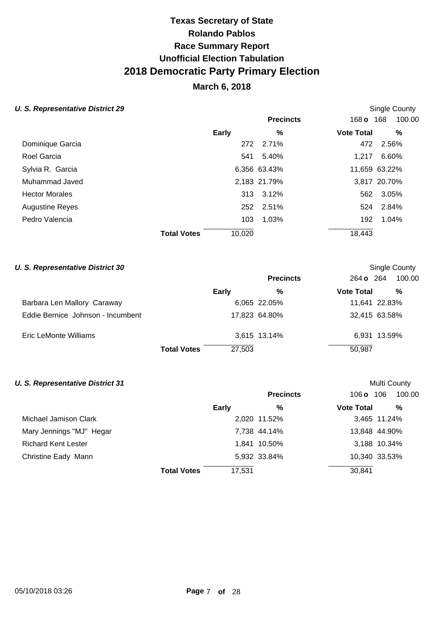## **March 6, 2018**

### **U. S. Representative District 29 Single County Single County Single County**

|                    |                  |                                                                                 | "             |
|--------------------|------------------|---------------------------------------------------------------------------------|---------------|
|                    | <b>Precincts</b> | 168 <b>o</b> 168                                                                | 100.00        |
| <b>Early</b>       | $\frac{9}{6}$    | <b>Vote Total</b>                                                               | $\%$          |
|                    | 2.71%            |                                                                                 | 472 2.56%     |
|                    | 5.40%            | 1.217                                                                           | 6.60%         |
|                    |                  |                                                                                 | 11,659 63.22% |
|                    |                  |                                                                                 | 3,817 20.70%  |
|                    |                  |                                                                                 | 562 3.05%     |
|                    | 2.51%            | 524                                                                             | 2.84%         |
|                    | 1.03%            | 192                                                                             | 1.04%         |
| <b>Total Votes</b> |                  | 18,443                                                                          |               |
|                    |                  | 272<br>541<br>6,356 63.43%<br>2,183 21.79%<br>313 3.12%<br>252<br>103<br>10,020 |               |

#### **U. S. Representative District 30 Single County Single County Single County**

|                                   |                    |        | <b>Precincts</b> | 264 <b>o</b> 264  | 100.00        |
|-----------------------------------|--------------------|--------|------------------|-------------------|---------------|
|                                   |                    | Early  | %                | <b>Vote Total</b> | %             |
| Barbara Len Mallory Caraway       |                    |        | 6,065 22.05%     |                   | 11,641 22.83% |
| Eddie Bernice Johnson - Incumbent |                    |        | 17,823 64.80%    |                   | 32,415 63.58% |
| Eric LeMonte Williams             |                    |        | 3,615 13.14%     |                   | 6,931 13.59%  |
|                                   | <b>Total Votes</b> | 27,503 |                  | 50,987            |               |

#### **U. S. Representative District 31 Multi County Multi County Multi County**

|                            |                    |        | <b>Precincts</b> | 106 <b>o</b> 106  | 100.00        |
|----------------------------|--------------------|--------|------------------|-------------------|---------------|
|                            |                    | Early  | %                | <b>Vote Total</b> | $\%$          |
| Michael Jamison Clark      |                    |        | 2,020 11.52%     |                   | 3,465 11.24%  |
| Mary Jennings "MJ" Hegar   |                    |        | 7,738 44.14%     |                   | 13,848 44.90% |
| <b>Richard Kent Lester</b> |                    |        | 1,841 10.50%     |                   | 3,188 10.34%  |
| Christine Eady Mann        |                    |        | 5,932 33.84%     |                   | 10,340 33.53% |
|                            | <b>Total Votes</b> | 17,531 |                  | 30,841            |               |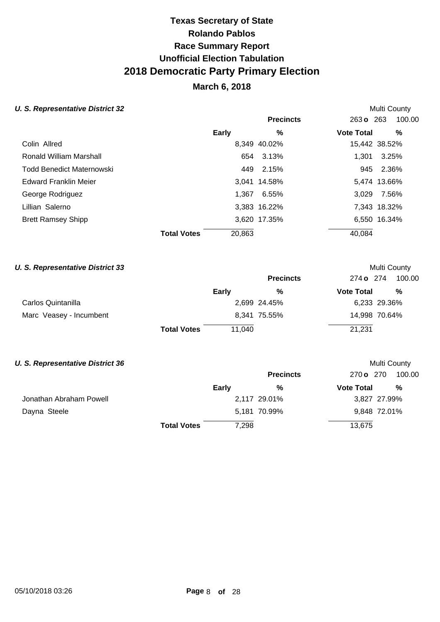## **March 6, 2018**

### **U. S. Representative District 32 Multi County Multi County Multi County**

|                                  |                    |        | <b>Precincts</b> | $263 \text{ o}$ 263 | 100.00        |
|----------------------------------|--------------------|--------|------------------|---------------------|---------------|
|                                  |                    | Early  | %                | <b>Vote Total</b>   | %             |
| Colin Allred                     |                    |        | 8,349 40.02%     |                     | 15,442 38.52% |
| Ronald William Marshall          |                    | 654    | 3.13%            | 1.301               | 3.25%         |
| <b>Todd Benedict Maternowski</b> |                    | 449    | 2.15%            | 945                 | 2.36%         |
| <b>Edward Franklin Meier</b>     |                    |        | 3,041 14.58%     |                     | 5,474 13.66%  |
| George Rodriguez                 |                    | 1.367  | 6.55%            | 3.029               | 7.56%         |
| Lillian Salerno                  |                    |        | 3,383 16.22%     |                     | 7,343 18.32%  |
| <b>Brett Ramsey Shipp</b>        |                    |        | 3,620 17.35%     |                     | 6,550 16.34%  |
|                                  | <b>Total Votes</b> | 20,863 |                  | 40,084              |               |

### **U. S. Representative District 33 Multi County Multi County Multi County**

|                         |                    |        | <b>Precincts</b> | 274 o 274         | 100.00        |
|-------------------------|--------------------|--------|------------------|-------------------|---------------|
|                         |                    | Early  | %                | <b>Vote Total</b> | %             |
| Carlos Quintanilla      |                    |        | 2,699 24.45%     |                   | 6,233 29.36%  |
| Marc Veasey - Incumbent |                    |        | 8,341 75.55%     |                   | 14,998 70.64% |
|                         | <b>Total Votes</b> | 11.040 |                  | 21,231            |               |

#### **U. S. Representative District 36 Multi County Multi County Multi County**

|                         |                    |       | <b>Precincts</b> | 270 o 270         | 100.00       |
|-------------------------|--------------------|-------|------------------|-------------------|--------------|
|                         |                    | Early | %                | <b>Vote Total</b> | %            |
| Jonathan Abraham Powell |                    |       | 2,117 29.01%     |                   | 3,827 27.99% |
| Dayna Steele            |                    |       | 5,181 70.99%     |                   | 9,848 72.01% |
|                         | <b>Total Votes</b> | 7.298 |                  | 13,675            |              |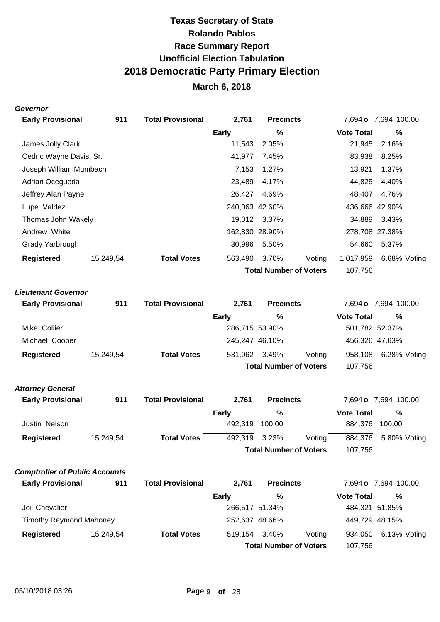## **March 6, 2018**

#### **Governor**

| <b>Early Provisional</b> | 911       | <b>Total Provisional</b> | 2,761          | <b>Precincts</b>              |        |                   | 7,694 <b>o</b> 7,694 100.00 |
|--------------------------|-----------|--------------------------|----------------|-------------------------------|--------|-------------------|-----------------------------|
|                          |           |                          | Early          | %                             |        | <b>Vote Total</b> | %                           |
| James Jolly Clark        |           |                          | 11,543         | 2.05%                         |        | 21,945            | 2.16%                       |
| Cedric Wayne Davis, Sr.  |           |                          | 41,977         | 7.45%                         |        | 83,938            | 8.25%                       |
| Joseph William Mumbach   |           |                          | 7,153          | 1.27%                         |        | 13,921            | 1.37%                       |
| Adrian Ocegueda          |           |                          | 23,489         | 4.17%                         |        | 44,825            | 4.40%                       |
| Jeffrey Alan Payne       |           |                          | 26,427         | 4.69%                         |        | 48,407            | 4.76%                       |
| Lupe Valdez              |           |                          | 240,063 42.60% |                               |        | 436,666 42.90%    |                             |
| Thomas John Wakely       |           |                          |                | 19,012 3.37%                  |        | 34,889            | 3.43%                       |
| Andrew White             |           |                          |                | 162,830 28.90%                |        |                   | 278,708 27.38%              |
| Grady Yarbrough          |           |                          | 30,996         | 5.50%                         |        | 54,660            | 5.37%                       |
| <b>Registered</b>        | 15,249,54 | <b>Total Votes</b>       | 563,490        | 3.70%                         | Voting | 1,017,959         | 6.68% Voting                |
|                          |           |                          |                | <b>Total Number of Voters</b> |        | 107,756           |                             |

#### **Lieutenant Governor**

| <b>Early Provisional</b> | 911       | <b>Total Provisional</b> | 2.761          | <b>Precincts</b>              |        |                   | 7,694 <b>o</b> 7,694 100.00 |
|--------------------------|-----------|--------------------------|----------------|-------------------------------|--------|-------------------|-----------------------------|
|                          |           |                          | <b>Early</b>   | %                             |        | <b>Vote Total</b> | %                           |
| Mike Collier             |           |                          | 286,715 53.90% |                               |        | 501,782 52.37%    |                             |
| Michael Cooper           |           |                          | 245,247 46.10% |                               |        |                   | 456,326 47.63%              |
| Registered               | 15,249,54 | <b>Total Votes</b>       | 531,962 3.49%  |                               | Voting | 958,108           | 6.28% Voting                |
|                          |           |                          |                | <b>Total Number of Voters</b> |        | 107.756           |                             |
|                          |           |                          |                |                               |        |                   |                             |

### **Attorney General**

| <b>Early Provisional</b> | 911       | <b>Total Provisional</b> | 2.761         | <b>Precincts</b>              |        |                   | 7.694 <b>o</b> 7.694 100.00 |
|--------------------------|-----------|--------------------------|---------------|-------------------------------|--------|-------------------|-----------------------------|
|                          |           |                          | Early         | %                             |        | <b>Vote Total</b> | %                           |
| Justin Nelson            |           |                          | 492.319       | 100.00                        |        | 884.376           | 100.00                      |
| Registered               | 15,249,54 | <b>Total Votes</b>       | 492,319 3.23% |                               | Voting | 884,376           | 5.80% Voting                |
|                          |           |                          |               | <b>Total Number of Voters</b> |        | 107,756           |                             |

#### **Comptroller of Public Accounts**

| <b>Early Provisional</b>       | 911       | <b>Total Provisional</b> | 2.761          | <b>Precincts</b>              |        |                   | 7,694 <b>o</b> 7,694 100.00 |
|--------------------------------|-----------|--------------------------|----------------|-------------------------------|--------|-------------------|-----------------------------|
|                                |           |                          | <b>Early</b>   | %                             |        | <b>Vote Total</b> | %                           |
| Joi Chevalier                  |           |                          | 266,517 51.34% |                               |        | 484,321 51.85%    |                             |
| <b>Timothy Raymond Mahoney</b> |           |                          | 252,637 48.66% |                               |        | 449,729 48.15%    |                             |
| Registered                     | 15,249,54 | <b>Total Votes</b>       | 519,154        | 3.40%                         | Voting | 934,050           | 6.13% Voting                |
|                                |           |                          |                | <b>Total Number of Voters</b> |        | 107,756           |                             |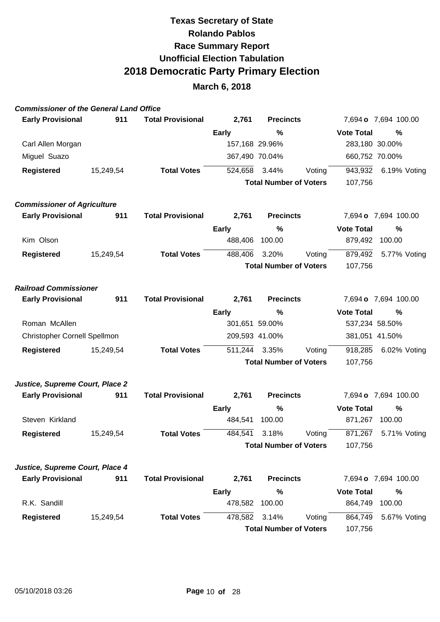| <b>Commissioner of the General Land Office</b> |           |                          |                               |                               |         |                   |                      |
|------------------------------------------------|-----------|--------------------------|-------------------------------|-------------------------------|---------|-------------------|----------------------|
| <b>Early Provisional</b>                       | 911       | <b>Total Provisional</b> | 2,761                         | <b>Precincts</b>              |         |                   | 7,694 o 7,694 100.00 |
|                                                |           |                          | <b>Early</b>                  | %                             |         | <b>Vote Total</b> | %                    |
| Carl Allen Morgan                              |           |                          | 157,168 29.96%                |                               |         | 283,180 30.00%    |                      |
| Miguel Suazo                                   |           |                          | 367,490 70.04%                |                               |         | 660,752 70.00%    |                      |
| <b>Registered</b>                              | 15,249,54 | <b>Total Votes</b>       | 524,658                       | 3.44%                         | Voting  | 943,932           | 6.19% Voting         |
|                                                |           |                          |                               | <b>Total Number of Voters</b> |         | 107,756           |                      |
| <b>Commissioner of Agriculture</b>             |           |                          |                               |                               |         |                   |                      |
| <b>Early Provisional</b>                       | 911       | <b>Total Provisional</b> | 2,761                         | <b>Precincts</b>              |         |                   | 7,694 o 7,694 100.00 |
|                                                |           |                          | <b>Early</b>                  | %                             |         | <b>Vote Total</b> | %                    |
| Kim Olson                                      |           |                          | 488,406                       | 100.00                        |         | 879,492           | 100.00               |
| <b>Registered</b>                              | 15,249,54 | <b>Total Votes</b>       | 488,406                       | 3.20%                         | Voting  | 879,492           | 5.77% Voting         |
|                                                |           |                          |                               | <b>Total Number of Voters</b> |         | 107,756           |                      |
| <b>Railroad Commissioner</b>                   |           |                          |                               |                               |         |                   |                      |
| <b>Early Provisional</b>                       | 911       | <b>Total Provisional</b> | 2,761                         | <b>Precincts</b>              |         |                   | 7,694 o 7,694 100.00 |
|                                                |           |                          | <b>Early</b>                  | %                             |         | <b>Vote Total</b> | %                    |
| Roman McAllen                                  |           |                          | 301,651 59.00%                |                               |         | 537,234 58.50%    |                      |
| Christopher Cornell Spellmon                   |           |                          | 209,593 41.00%                |                               |         | 381,051 41.50%    |                      |
| <b>Registered</b>                              | 15,249,54 | <b>Total Votes</b>       | 511,244                       | 3.35%                         | Voting  | 918,285           | 6.02% Voting         |
|                                                |           |                          | <b>Total Number of Voters</b> |                               | 107,756 |                   |                      |
| Justice, Supreme Court, Place 2                |           |                          |                               |                               |         |                   |                      |
| <b>Early Provisional</b>                       | 911       | <b>Total Provisional</b> | 2,761                         | <b>Precincts</b>              |         |                   | 7,694 o 7,694 100.00 |
|                                                |           |                          | <b>Early</b>                  | %                             |         | <b>Vote Total</b> | $\%$                 |
| Steven Kirkland                                |           |                          | 484,541                       | 100.00                        |         | 871,267           | 100.00               |
| <b>Registered</b>                              | 15,249,54 | <b>Total Votes</b>       | 484,541                       | 3.18%                         | Voting  | 871,267           | 5.71% Voting         |
|                                                |           |                          |                               | <b>Total Number of Voters</b> |         | 107,756           |                      |
| Justice, Supreme Court, Place 4                |           |                          |                               |                               |         |                   |                      |
| <b>Early Provisional</b>                       | 911       | <b>Total Provisional</b> | 2,761                         | <b>Precincts</b>              |         |                   | 7,694 o 7,694 100.00 |
|                                                |           |                          | <b>Early</b>                  | %                             |         | <b>Vote Total</b> | %                    |
| R.K. Sandill                                   |           |                          | 478,582 100.00                |                               |         | 864,749           | 100.00               |
| <b>Registered</b>                              | 15,249,54 | <b>Total Votes</b>       | 478,582                       | 3.14%                         | Voting  | 864,749           | 5.67% Voting         |
|                                                |           |                          |                               | <b>Total Number of Voters</b> |         | 107,756           |                      |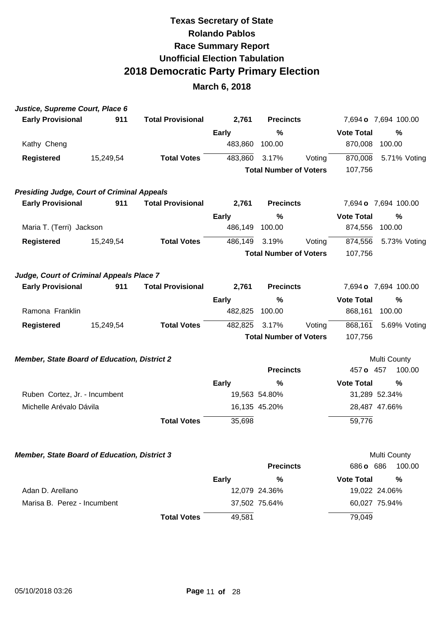| Justice, Supreme Court, Place 6                     |           |                          |              |                               |        |                   |                      |
|-----------------------------------------------------|-----------|--------------------------|--------------|-------------------------------|--------|-------------------|----------------------|
| <b>Early Provisional</b>                            | 911       | <b>Total Provisional</b> | 2,761        | <b>Precincts</b>              |        |                   | 7,694 o 7,694 100.00 |
|                                                     |           |                          | <b>Early</b> | $\%$                          |        | <b>Vote Total</b> | $\%$                 |
| Kathy Cheng                                         |           |                          | 483,860      | 100.00                        |        | 870,008           | 100.00               |
| <b>Registered</b>                                   | 15,249,54 | <b>Total Votes</b>       | 483,860      | 3.17%                         | Voting | 870,008           | 5.71% Voting         |
|                                                     |           |                          |              | <b>Total Number of Voters</b> |        | 107,756           |                      |
| <b>Presiding Judge, Court of Criminal Appeals</b>   |           |                          |              |                               |        |                   |                      |
| <b>Early Provisional</b>                            | 911       | <b>Total Provisional</b> | 2,761        | <b>Precincts</b>              |        |                   | 7,694 o 7,694 100.00 |
|                                                     |           |                          | <b>Early</b> | %                             |        | <b>Vote Total</b> | $\frac{0}{0}$        |
| Maria T. (Terri) Jackson                            |           |                          | 486,149      | 100.00                        |        | 874,556           | 100.00               |
| <b>Registered</b>                                   | 15,249,54 | <b>Total Votes</b>       | 486,149      | 3.19%                         | Voting | 874,556           | 5.73% Voting         |
|                                                     |           |                          |              | <b>Total Number of Voters</b> |        | 107,756           |                      |
| Judge, Court of Criminal Appeals Place 7            |           |                          |              |                               |        |                   |                      |
| <b>Early Provisional</b>                            | 911       | <b>Total Provisional</b> | 2,761        | <b>Precincts</b>              |        |                   | 7,694 o 7,694 100.00 |
|                                                     |           |                          | <b>Early</b> | %                             |        | <b>Vote Total</b> | %                    |
| Ramona Franklin                                     |           |                          | 482,825      | 100.00                        |        | 868,161           | 100.00               |
| <b>Registered</b>                                   | 15,249,54 | <b>Total Votes</b>       | 482,825      | 3.17%                         | Voting | 868,161           | 5.69% Voting         |
|                                                     |           |                          |              | <b>Total Number of Voters</b> |        | 107,756           |                      |
| <b>Member, State Board of Education, District 2</b> |           |                          |              |                               |        |                   | Multi County         |
|                                                     |           |                          |              | <b>Precincts</b>              |        | 457 o 457         | 100.00               |
|                                                     |           |                          | <b>Early</b> | %                             |        | <b>Vote Total</b> | $\frac{0}{0}$        |
| Ruben Cortez, Jr. - Incumbent                       |           |                          |              | 19,563 54.80%                 |        |                   | 31,289 52.34%        |
| Michelle Arévalo Dávila                             |           |                          |              | 16,135 45.20%                 |        |                   | 28,487 47.66%        |
|                                                     |           | <b>Total Votes</b>       | 35,698       |                               |        | 59,776            |                      |
| <b>Member, State Board of Education, District 3</b> |           |                          |              |                               |        |                   | <b>Multi County</b>  |
|                                                     |           |                          |              | <b>Precincts</b>              |        | 686 <b>o</b> 686  | 100.00               |
|                                                     |           |                          | <b>Early</b> | %                             |        | <b>Vote Total</b> | $\frac{0}{0}$        |
| Adan D. Arellano                                    |           |                          |              | 12,079 24.36%                 |        |                   | 19,022 24.06%        |
| Marisa B. Perez - Incumbent                         |           |                          |              | 37,502 75.64%                 |        |                   | 60,027 75.94%        |
|                                                     |           | <b>Total Votes</b>       | 49,581       |                               |        | 79,049            |                      |
|                                                     |           |                          |              |                               |        |                   |                      |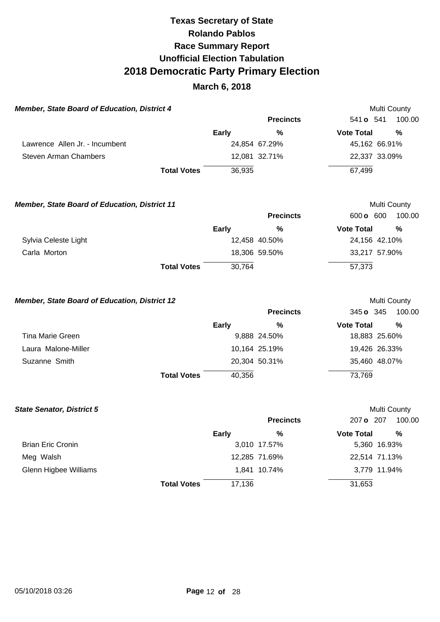| <b>Member, State Board of Education, District 4</b>  |                    |              |                     | Multi County               |
|------------------------------------------------------|--------------------|--------------|---------------------|----------------------------|
|                                                      |                    |              | <b>Precincts</b>    | 100.00<br>541 <b>o</b> 541 |
|                                                      |                    | <b>Early</b> | %                   | <b>Vote Total</b><br>$\%$  |
| Lawrence Allen Jr. - Incumbent                       |                    |              | 24,854 67.29%       | 45,162 66.91%              |
| Steven Arman Chambers                                |                    |              | 12,081 32.71%       | 22,337 33.09%              |
|                                                      | <b>Total Votes</b> | 36,935       |                     | 67,499                     |
| <b>Member, State Board of Education, District 11</b> |                    |              | <b>Multi County</b> |                            |
|                                                      |                    |              | <b>Precincts</b>    | 100.00<br>600 <b>o</b> 600 |
|                                                      |                    | <b>Early</b> | %                   | <b>Vote Total</b><br>$\%$  |
| Sylvia Celeste Light                                 |                    |              | 12,458 40.50%       | 24,156 42.10%              |
| Carla Morton                                         |                    |              | 18,306 59.50%       | 33,217 57.90%              |
|                                                      | <b>Total Votes</b> | 30,764       |                     | 57,373                     |
| <b>Member, State Board of Education, District 12</b> |                    |              |                     | <b>Multi County</b>        |

|                     |                              | <b>Precincts</b> | 345 o 345         | 100.00 |
|---------------------|------------------------------|------------------|-------------------|--------|
|                     | <b>Early</b>                 | %                | <b>Vote Total</b> | %      |
| Tina Marie Green    |                              | 9,888 24.50%     | 18,883 25.60%     |        |
| Laura Malone-Miller |                              | 10,164 25.19%    | 19,426 26.33%     |        |
| Suzanne Smith       |                              | 20,304 50.31%    | 35,460 48.07%     |        |
|                     | <b>Total Votes</b><br>40,356 |                  | 73.769            |        |

| <b>State Senator, District 5</b> |                    |              |                  | Multi County      |               |  |
|----------------------------------|--------------------|--------------|------------------|-------------------|---------------|--|
|                                  |                    |              | <b>Precincts</b> | 207 <b>o</b> 207  | 100.00        |  |
|                                  |                    | <b>Early</b> | %                | <b>Vote Total</b> | %             |  |
| <b>Brian Eric Cronin</b>         |                    |              | 3,010 17.57%     |                   | 5,360 16.93%  |  |
| Meg Walsh                        |                    |              | 12,285 71.69%    |                   | 22,514 71.13% |  |
| Glenn Higbee Williams            |                    |              | 1,841 10.74%     |                   | 3,779 11.94%  |  |
|                                  | <b>Total Votes</b> | 17,136       |                  | 31,653            |               |  |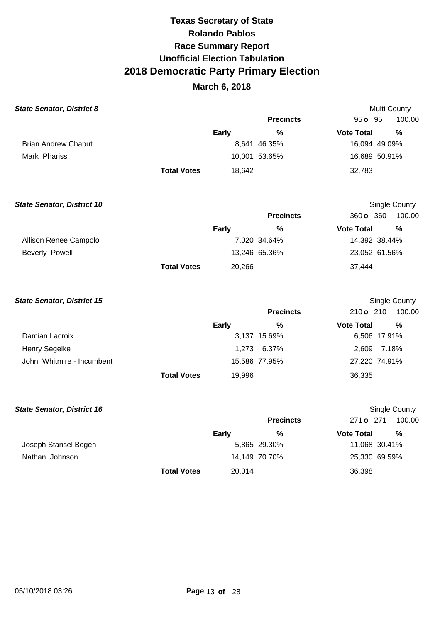| <b>State Senator, District 8</b>  |                    |              |                  | Multi County      |                      |
|-----------------------------------|--------------------|--------------|------------------|-------------------|----------------------|
|                                   |                    |              | <b>Precincts</b> | 95 o 95           | 100.00               |
|                                   |                    | <b>Early</b> | $\frac{0}{0}$    | <b>Vote Total</b> | %                    |
| <b>Brian Andrew Chaput</b>        |                    |              | 8,641 46.35%     | 16,094 49.09%     |                      |
| Mark Phariss                      |                    |              | 10,001 53.65%    | 16,689 50.91%     |                      |
|                                   | <b>Total Votes</b> | 18,642       |                  | 32,783            |                      |
| <b>State Senator, District 10</b> |                    |              |                  |                   | Single County        |
|                                   |                    |              | <b>Precincts</b> | 360 o 360         | 100.00               |
|                                   |                    | <b>Early</b> | %                | <b>Vote Total</b> | %                    |
| Allison Renee Campolo             |                    |              | 7,020 34.64%     | 14,392 38.44%     |                      |
| Beverly Powell                    |                    |              | 13,246 65.36%    | 23,052 61.56%     |                      |
|                                   | <b>Total Votes</b> | 20,266       |                  | 37,444            |                      |
| <b>State Senator, District 15</b> |                    |              |                  |                   | <b>Single County</b> |
|                                   |                    |              | <b>Precincts</b> | 210 o 210         | 100.00               |
|                                   |                    | <b>Early</b> | %                | <b>Vote Total</b> | %                    |
| Damian Lacroix                    |                    |              | 3,137 15.69%     | 6,506 17.91%      |                      |
| Henry Segelke                     |                    |              | 1,273 6.37%      | 2,609<br>7.18%    |                      |
| John Whitmire - Incumbent         |                    |              | 15,586 77.95%    | 27,220 74.91%     |                      |
|                                   | <b>Total Votes</b> | 19,996       |                  | 36,335            |                      |
| <b>State Senator, District 16</b> |                    |              |                  |                   | Single County        |
|                                   |                    |              | <b>Precincts</b> | 271 o 271         | 100.00               |
|                                   |                    | <b>Early</b> | %                | <b>Vote Total</b> | %                    |
| Joseph Stansel Bogen              |                    |              | 5,865 29.30%     | 11,068 30.41%     |                      |
| Nathan Johnson                    |                    |              | 14,149 70.70%    | 25,330 69.59%     |                      |
|                                   | <b>Total Votes</b> | 20,014       |                  | 36,398            |                      |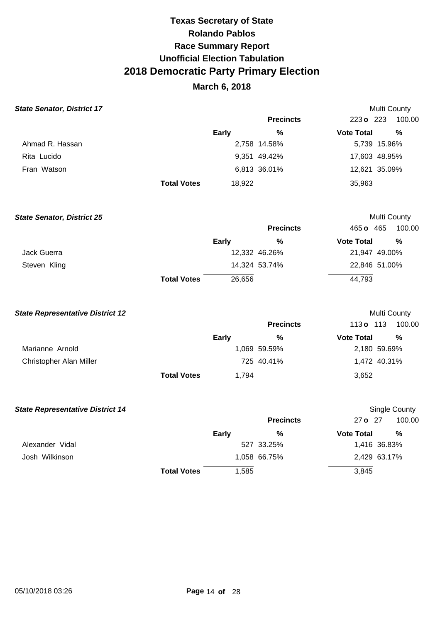## **March 6, 2018**

| <b>State Senator, District 17</b> |                    |        |                  |                   | Multi County  |
|-----------------------------------|--------------------|--------|------------------|-------------------|---------------|
|                                   |                    |        | <b>Precincts</b> | $223$ o $223$     | 100.00        |
|                                   |                    | Early  | %                | <b>Vote Total</b> | %             |
| Ahmad R. Hassan                   |                    |        | 2,758 14.58%     |                   | 5,739 15.96%  |
| Rita Lucido                       |                    |        | 9,351 49.42%     |                   | 17,603 48.95% |
| Fran Watson                       |                    |        | 6,813 36.01%     |                   | 12,621 35.09% |
|                                   | <b>Total Votes</b> | 18,922 |                  | 35,963            |               |

**State Senator, District 25**  Jack Guerra Steven Kling **Total Votes Early**  12,332 46.26% 14,324 53.74% 26,656 **Precincts %**  Multi County 465 **o** 465 100.00 **Vote Total %**  21,947 49.00% 22,846 51.00% 44,793

| <b>State Representative District 12</b> |                    |              |                  |                   | Multi County |  |
|-----------------------------------------|--------------------|--------------|------------------|-------------------|--------------|--|
|                                         |                    |              | <b>Precincts</b> | 113 $\sigma$ 113  | 100.00       |  |
|                                         |                    | <b>Early</b> | %                | <b>Vote Total</b> | %            |  |
| Marianne Arnold                         |                    |              | 1,069 59.59%     |                   | 2,180 59.69% |  |
| Christopher Alan Miller                 |                    |              | 725 40.41%       |                   | 1,472 40.31% |  |
|                                         | <b>Total Votes</b> | 1.794        |                  | 3,652             |              |  |

| <b>State Representative District 14</b> |                    |       |                  |                   | Single County |
|-----------------------------------------|--------------------|-------|------------------|-------------------|---------------|
|                                         |                    |       | <b>Precincts</b> | $27$ o $27$       | 100.00        |
|                                         |                    | Early | %                | <b>Vote Total</b> | %             |
| Alexander Vidal                         |                    |       | 527 33.25%       |                   | 1,416 36.83%  |
| Josh Wilkinson                          |                    |       | 1,058 66.75%     |                   | 2,429 63.17%  |
|                                         | <b>Total Votes</b> | 1,585 |                  | 3,845             |               |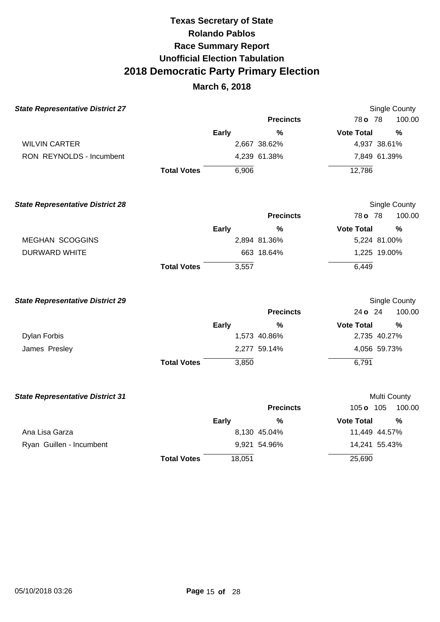| <b>State Representative District 27</b> |                    |              |                  | <b>Single County</b>               |        |
|-----------------------------------------|--------------------|--------------|------------------|------------------------------------|--------|
|                                         |                    |              | <b>Precincts</b> | 78 o 78                            | 100.00 |
|                                         |                    | <b>Early</b> | $\frac{0}{0}$    | <b>Vote Total</b><br>$\frac{0}{0}$ |        |
| <b>WILVIN CARTER</b>                    |                    |              | 2,667 38.62%     | 4,937 38.61%                       |        |
| RON REYNOLDS - Incumbent                |                    |              | 4,239 61.38%     | 7,849 61.39%                       |        |
|                                         | <b>Total Votes</b> | 6,906        |                  | 12,786                             |        |
| <b>State Representative District 28</b> |                    |              |                  | <b>Single County</b>               |        |
|                                         |                    |              | <b>Precincts</b> | 78 o 78                            | 100.00 |
|                                         |                    | <b>Early</b> | %                | <b>Vote Total</b><br>%             |        |
| <b>MEGHAN SCOGGINS</b>                  |                    |              | 2,894 81.36%     | 5,224 81.00%                       |        |
| <b>DURWARD WHITE</b>                    |                    |              | 663 18.64%       | 1,225 19.00%                       |        |
|                                         | <b>Total Votes</b> | 3,557        |                  | 6,449                              |        |
| <b>State Representative District 29</b> |                    |              |                  | <b>Single County</b>               |        |
|                                         |                    |              | <b>Precincts</b> | 24 o 24                            | 100.00 |
|                                         |                    | Early        | %                | <b>Vote Total</b><br>$\frac{0}{0}$ |        |
| <b>Dylan Forbis</b>                     |                    |              | 1,573 40.86%     | 2,735 40.27%                       |        |
| James Presley                           |                    |              | 2,277 59.14%     | 4,056 59.73%                       |        |
|                                         | <b>Total Votes</b> | 3,850        |                  | 6,791                              |        |
| <b>State Representative District 31</b> |                    |              |                  | Multi County                       |        |
|                                         |                    |              | <b>Precincts</b> | 105 o 105                          | 100.00 |
|                                         |                    | <b>Early</b> | %                | <b>Vote Total</b><br>$\frac{0}{0}$ |        |
| Ana Lisa Garza                          |                    |              | 8,130 45.04%     | 11,449 44.57%                      |        |
| Ryan Guillen - Incumbent                |                    |              | 9,921 54.96%     | 14,241 55.43%                      |        |
|                                         | <b>Total Votes</b> | 18,051       |                  | 25,690                             |        |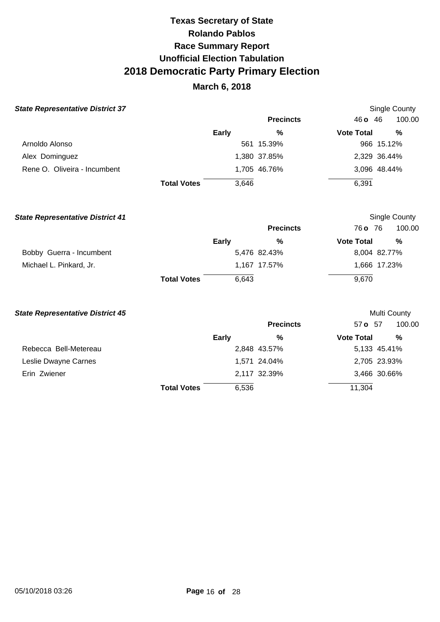|  | <b>State Representative District 37</b> |  |
|--|-----------------------------------------|--|
|--|-----------------------------------------|--|

| <b>State Representative District 37</b> |                    |              |                  |                   | Single County |
|-----------------------------------------|--------------------|--------------|------------------|-------------------|---------------|
|                                         |                    |              | <b>Precincts</b> | $46$ o $46$       | 100.00        |
|                                         |                    | <b>Early</b> | %                | <b>Vote Total</b> | %             |
| Arnoldo Alonso                          |                    |              | 561 15.39%       |                   | 966 15.12%    |
| Alex Dominguez                          |                    |              | 1,380 37.85%     |                   | 2,329 36.44%  |
| Rene O. Oliveira - Incumbent            |                    |              | 1,705 46.76%     |                   | 3,096 48.44%  |
|                                         | <b>Total Votes</b> | 3,646        |                  | 6,391             |               |

| <b>State Representative District 41</b> |                    |              |                  |                   | Single County |
|-----------------------------------------|--------------------|--------------|------------------|-------------------|---------------|
|                                         |                    |              | <b>Precincts</b> | 76 o 76           | 100.00        |
|                                         |                    | <b>Early</b> | %                | <b>Vote Total</b> | %             |
| Bobby Guerra - Incumbent                |                    |              | 5,476 82.43%     |                   | 8,004 82.77%  |
| Michael L. Pinkard, Jr.                 |                    |              | 1,167 17.57%     |                   | 1,666 17.23%  |
|                                         | <b>Total Votes</b> | 6.643        |                  | 9.670             |               |

| <b>State Representative District 45</b> |                    |              |                  | Multi County      |              |
|-----------------------------------------|--------------------|--------------|------------------|-------------------|--------------|
|                                         |                    |              | <b>Precincts</b> | 57 o 57           | 100.00       |
|                                         |                    | <b>Early</b> | %                | <b>Vote Total</b> | %            |
| Rebecca Bell-Metereau                   |                    |              | 2,848 43.57%     |                   | 5,133 45.41% |
| Leslie Dwayne Carnes                    |                    |              | 1,571 24.04%     |                   | 2,705 23.93% |
| Erin Zwiener                            |                    |              | 2,117 32.39%     |                   | 3,466 30.66% |
|                                         | <b>Total Votes</b> | 6,536        |                  | 11,304            |              |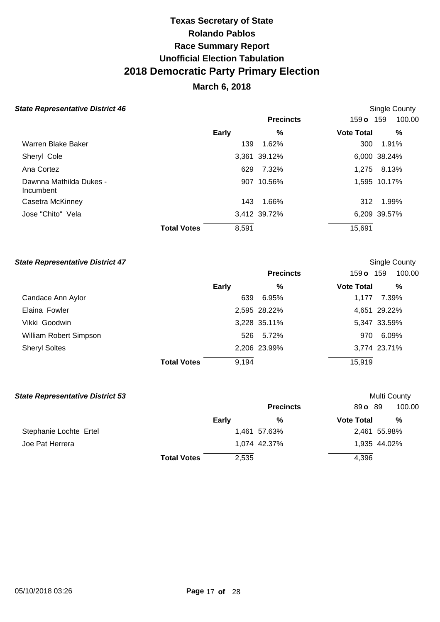## **March 6, 2018**

#### **State Representative District 46 Single County Single County Single County Single County**

|                                      |                    |       | <b>Precincts</b> | 159 o 159         | 100.00       |
|--------------------------------------|--------------------|-------|------------------|-------------------|--------------|
|                                      |                    | Early | %                | <b>Vote Total</b> | %            |
| Warren Blake Baker                   |                    | 139   | 1.62%            | 300               | 1.91%        |
| Sheryl Cole                          |                    |       | 3,361 39.12%     |                   | 6,000 38.24% |
| Ana Cortez                           |                    | 629   | 7.32%            | 1.275             | 8.13%        |
| Dawnna Mathilda Dukes -<br>Incumbent |                    |       | 907 10.56%       |                   | 1,595 10.17% |
| Casetra McKinney                     |                    | 143   | 1.66%            | 312               | 1.99%        |
| Jose "Chito" Vela                    |                    |       | 3,412 39.72%     |                   | 6,209 39.57% |
|                                      | <b>Total Votes</b> | 8,591 |                  | 15,691            |              |

#### **State Representative District 47 Single County State Representative District 47**

|                        |                    |       | <b>Precincts</b> | 159 o 159         | 100.00       |
|------------------------|--------------------|-------|------------------|-------------------|--------------|
|                        |                    | Early | %                | <b>Vote Total</b> | %            |
| Candace Ann Aylor      |                    | 639   | 6.95%            | 1.177             | 7.39%        |
| Elaina Fowler          |                    |       | 2,595 28.22%     |                   | 4,651 29.22% |
| Vikki Goodwin          |                    |       | 3,228 35.11%     |                   | 5,347 33.59% |
| William Robert Simpson |                    |       | 526 5.72%        | 970               | 6.09%        |
| <b>Sheryl Soltes</b>   |                    |       | 2,206 23.99%     |                   | 3,774 23.71% |
|                        | <b>Total Votes</b> | 9,194 |                  | 15,919            |              |

#### **State Representative District 53 Multi County Multi County Multi County**

|                        |                    |       | <b>Precincts</b> | 89 o 89           | 100.00       |
|------------------------|--------------------|-------|------------------|-------------------|--------------|
|                        |                    | Early | %                | <b>Vote Total</b> | %            |
| Stephanie Lochte Ertel |                    |       | 1,461 57.63%     |                   | 2,461 55.98% |
| Joe Pat Herrera        |                    |       | 1,074 42.37%     |                   | 1,935 44.02% |
|                        | <b>Total Votes</b> | 2,535 |                  | 4,396             |              |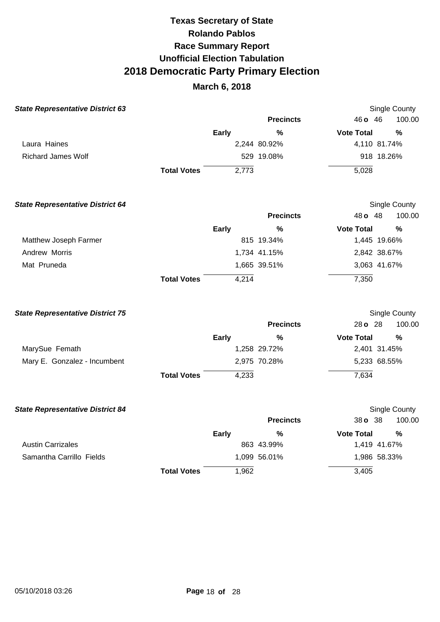| <b>State Representative District 63</b> |                    |              |                  |                   | Single County |
|-----------------------------------------|--------------------|--------------|------------------|-------------------|---------------|
|                                         |                    |              | <b>Precincts</b> | $46$ o $46$       | 100.00        |
|                                         |                    | <b>Early</b> | %                | <b>Vote Total</b> | %             |
| Laura Haines                            |                    |              | 2,244 80.92%     |                   | 4,110 81.74%  |
| Richard James Wolf                      |                    |              | 529 19.08%       |                   | 918 18.26%    |
|                                         | <b>Total Votes</b> | 2.773        |                  | 5,028             |               |
|                                         |                    |              |                  |                   |               |

| <b>State Representative District 64</b> |                    |              |                  |                   | <b>Single County</b> |
|-----------------------------------------|--------------------|--------------|------------------|-------------------|----------------------|
|                                         |                    |              | <b>Precincts</b> | 48 o 48           | 100.00               |
|                                         |                    | <b>Early</b> | %                | <b>Vote Total</b> | %                    |
| Matthew Joseph Farmer                   |                    |              | 815 19.34%       |                   | 1,445 19.66%         |
| Andrew Morris                           |                    |              | 1,734 41.15%     |                   | 2,842 38.67%         |
| Mat Pruneda                             |                    |              | 1,665 39.51%     |                   | 3,063 41.67%         |
|                                         | <b>Total Votes</b> | 4,214        |                  | 7,350             |                      |

| <b>State Representative District 75</b> |                    |              |                  |                   | Single County |
|-----------------------------------------|--------------------|--------------|------------------|-------------------|---------------|
|                                         |                    |              | <b>Precincts</b> | $28$ o $28$       | 100.00        |
|                                         |                    | <b>Early</b> | %                | <b>Vote Total</b> | %             |
| MarySue Femath                          |                    |              | 1,258 29.72%     |                   | 2,401 31.45%  |
| Mary E. Gonzalez - Incumbent            |                    |              | 2,975 70.28%     |                   | 5,233 68.55%  |
|                                         | <b>Total Votes</b> | 4,233        |                  | 7,634             |               |

| <b>State Representative District 84</b> |                    |              |                  | Single County     |              |  |
|-----------------------------------------|--------------------|--------------|------------------|-------------------|--------------|--|
|                                         |                    |              | <b>Precincts</b> | 380.38            | 100.00       |  |
|                                         |                    | <b>Early</b> | %                | <b>Vote Total</b> | %            |  |
| <b>Austin Carrizales</b>                |                    |              | 863 43.99%       |                   | 1,419 41.67% |  |
| Samantha Carrillo Fields                |                    |              | 1,099 56.01%     |                   | 1,986 58.33% |  |
|                                         | <b>Total Votes</b> | 1,962        |                  | 3,405             |              |  |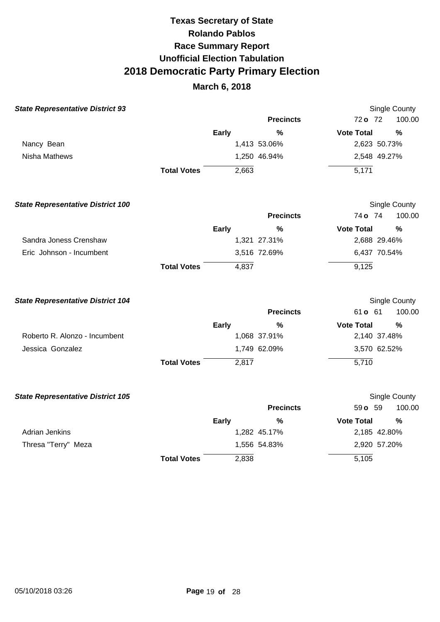| <b>State Representative District 93</b>  |                    |              |                  | <b>Single County</b>     |
|------------------------------------------|--------------------|--------------|------------------|--------------------------|
|                                          |                    |              | <b>Precincts</b> | 100.00<br>72 o 72        |
|                                          |                    | Early        | $\%$             | <b>Vote Total</b><br>%   |
| Nancy Bean                               |                    |              | 1,413 53.06%     | 2,623 50.73%             |
| Nisha Mathews                            |                    |              | 1,250 46.94%     | 2,548 49.27%             |
|                                          | <b>Total Votes</b> | 2,663        |                  | 5,171                    |
| <b>State Representative District 100</b> |                    |              |                  | Single County            |
|                                          |                    |              | <b>Precincts</b> | 100.00<br>74 o 74        |
|                                          |                    | <b>Early</b> | %                | <b>Vote Total</b><br>%   |
| Sandra Joness Crenshaw                   |                    |              | 1,321 27.31%     | 2,688 29.46%             |
| Eric Johnson - Incumbent                 |                    |              | 3,516 72.69%     | 6,437 70.54%             |
|                                          | <b>Total Votes</b> | 4,837        |                  | 9,125                    |
| <b>State Representative District 104</b> |                    |              |                  | Single County            |
|                                          |                    |              | <b>Precincts</b> | 61 <b>o</b> 61<br>100.00 |
|                                          |                    | <b>Early</b> | $\%$             | <b>Vote Total</b><br>%   |
| Roberto R. Alonzo - Incumbent            |                    |              | 1,068 37.91%     | 2,140 37.48%             |
| Jessica Gonzalez                         |                    |              | 1,749 62.09%     | 3,570 62.52%             |
|                                          | <b>Total Votes</b> | 2,817        |                  | 5,710                    |
| <b>State Representative District 105</b> |                    |              |                  | Single County            |
|                                          |                    |              | <b>Precincts</b> | 59 o 59<br>100.00        |
|                                          |                    | Early        | $\%$             | <b>Vote Total</b><br>%   |
| <b>Adrian Jenkins</b>                    |                    |              | 1,282 45.17%     | 2,185 42.80%             |
| Thresa "Terry" Meza                      |                    |              | 1,556 54.83%     | 2,920 57.20%             |
|                                          | <b>Total Votes</b> | 2,838        |                  | 5,105                    |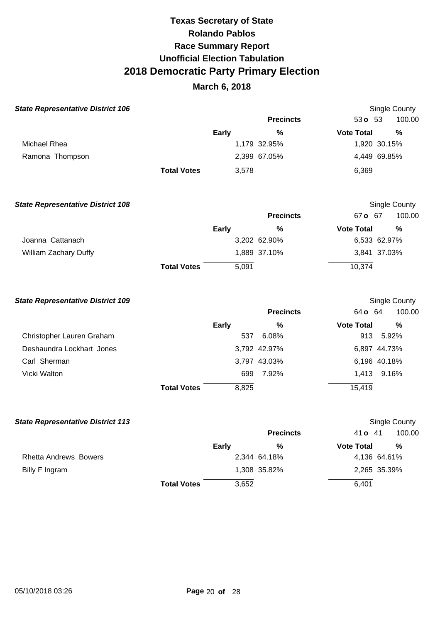| <b>State Representative District 106</b> |                    |              |                  |                   | Single County |
|------------------------------------------|--------------------|--------------|------------------|-------------------|---------------|
|                                          |                    |              | <b>Precincts</b> | 53 $o$ 53         | 100.00        |
|                                          |                    | Early        | %                | <b>Vote Total</b> | %             |
| Michael Rhea                             |                    |              | 1,179 32.95%     |                   | 1,920 30.15%  |
| Ramona Thompson                          |                    |              | 2,399 67.05%     |                   | 4,449 69.85%  |
|                                          | <b>Total Votes</b> | 3,578        |                  | 6,369             |               |
| <b>State Representative District 108</b> |                    |              |                  |                   | Single County |
|                                          |                    |              | <b>Precincts</b> | 67 o 67           | 100.00        |
|                                          |                    | <b>Early</b> | $\%$             | <b>Vote Total</b> | $\%$          |
| Joanna Cattanach                         |                    |              | 3,202 62.90%     |                   | 6,533 62.97%  |
| William Zachary Duffy                    |                    |              | 1,889 37.10%     |                   | 3,841 37.03%  |
|                                          | <b>Total Votes</b> | 5,091        |                  | 10,374            |               |
|                                          |                    |              |                  |                   |               |

| <b>State Representative District 109</b> |                    |              |                  |                   | Single County |
|------------------------------------------|--------------------|--------------|------------------|-------------------|---------------|
|                                          |                    |              | <b>Precincts</b> | 64 <b>o</b> 64    | 100.00        |
|                                          |                    | <b>Early</b> | %                | <b>Vote Total</b> | %             |
| Christopher Lauren Graham                |                    | 537          | 6.08%            | 913               | 5.92%         |
| Deshaundra Lockhart Jones                |                    |              | 3,792 42.97%     |                   | 6,897 44.73%  |
| Carl Sherman                             |                    |              | 3,797 43.03%     |                   | 6,196 40.18%  |
| Vicki Walton                             |                    | 699          | 7.92%            | 1.413             | 9.16%         |
|                                          | <b>Total Votes</b> | 8,825        |                  | 15,419            |               |

| <b>State Representative District 113</b> |                    |              |                  |                   | Single County |
|------------------------------------------|--------------------|--------------|------------------|-------------------|---------------|
|                                          |                    |              | <b>Precincts</b> | 41 <b>o</b> 41    | 100.00        |
|                                          |                    | <b>Early</b> | %                | <b>Vote Total</b> | %             |
| Rhetta Andrews Bowers                    |                    |              | 2,344 64.18%     |                   | 4,136 64.61%  |
| Billy F Ingram                           |                    |              | 1,308 35.82%     |                   | 2,265 35.39%  |
|                                          | <b>Total Votes</b> | 3,652        |                  | 6,401             |               |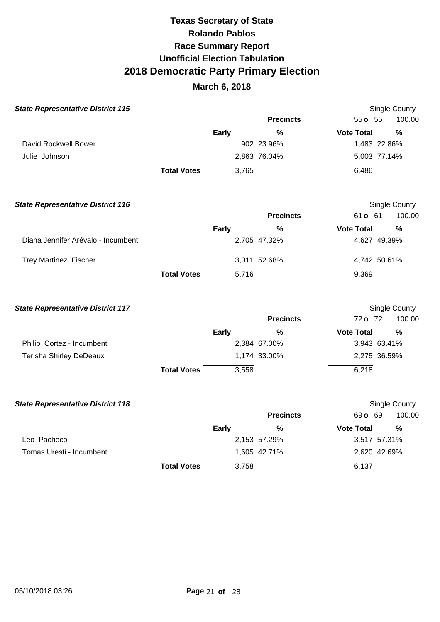| <b>State Representative District 115</b> |                    |              |                  | Single County                      |        |
|------------------------------------------|--------------------|--------------|------------------|------------------------------------|--------|
|                                          |                    |              | <b>Precincts</b> | 55 o 55                            | 100.00 |
|                                          |                    | <b>Early</b> | %                | <b>Vote Total</b><br>%             |        |
| David Rockwell Bower                     |                    |              | 902 23.96%       | 1,483 22.86%                       |        |
| Julie Johnson                            |                    |              | 2,863 76.04%     | 5,003 77.14%                       |        |
|                                          | <b>Total Votes</b> | 3,765        |                  | 6,486                              |        |
| <b>State Representative District 116</b> |                    |              |                  | Single County                      |        |
|                                          |                    |              | <b>Precincts</b> | 61 <b>o</b> 61                     | 100.00 |
|                                          |                    | <b>Early</b> | %                | <b>Vote Total</b><br>$\frac{0}{0}$ |        |
| Diana Jennifer Arévalo - Incumbent       |                    |              | 2,705 47.32%     | 4,627 49.39%                       |        |
| <b>Trey Martinez Fischer</b>             |                    |              | 3,011 52.68%     | 4,742 50.61%                       |        |
|                                          | <b>Total Votes</b> | 5,716        |                  | 9,369                              |        |
| <b>State Representative District 117</b> |                    |              |                  | <b>Single County</b>               |        |
|                                          |                    |              | <b>Precincts</b> | 72 o 72                            | 100.00 |
|                                          |                    | Early        | %                | <b>Vote Total</b><br>$\frac{0}{0}$ |        |
| Philip Cortez - Incumbent                |                    |              | 2,384 67.00%     | 3,943 63.41%                       |        |
| Terisha Shirley DeDeaux                  |                    |              | 1,174 33.00%     | 2,275 36.59%                       |        |
|                                          | <b>Total Votes</b> | 3,558        |                  | 6,218                              |        |
| <b>State Representative District 118</b> |                    |              |                  | Single County                      |        |
|                                          |                    |              | <b>Precincts</b> | 69 o 69                            | 100.00 |
|                                          |                    | Early        | %                | <b>Vote Total</b><br>%             |        |
| Leo Pacheco                              |                    |              | 2,153 57.29%     | 3,517 57.31%                       |        |
| Tomas Uresti - Incumbent                 |                    |              | 1,605 42.71%     | 2,620 42.69%                       |        |
|                                          | <b>Total Votes</b> | 3,758        |                  | 6,137                              |        |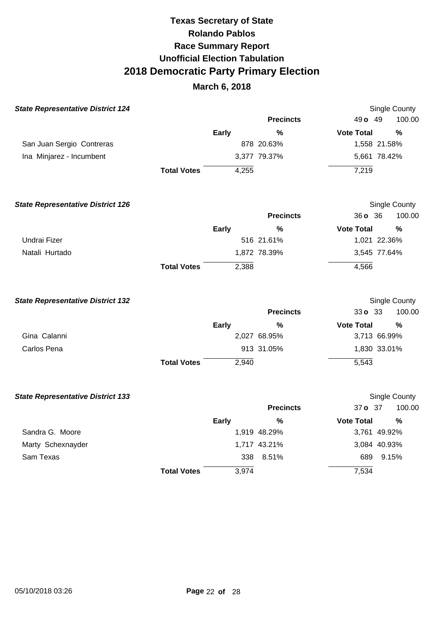| <b>State Representative District 124</b> |                    |              |       |                  |                   |              |       | <b>Single County</b> |
|------------------------------------------|--------------------|--------------|-------|------------------|-------------------|--------------|-------|----------------------|
|                                          |                    |              |       | <b>Precincts</b> |                   | 49 o 49      |       | 100.00               |
|                                          |                    | <b>Early</b> |       | $\frac{0}{0}$    | <b>Vote Total</b> |              |       | $\frac{0}{0}$        |
| San Juan Sergio Contreras                |                    |              |       | 878 20.63%       |                   | 1,558 21.58% |       |                      |
| Ina Minjarez - Incumbent                 |                    |              |       | 3,377 79.37%     |                   | 5,661 78.42% |       |                      |
|                                          | <b>Total Votes</b> |              | 4,255 |                  |                   | 7,219        |       |                      |
| <b>State Representative District 126</b> |                    |              |       |                  |                   |              |       | Single County        |
|                                          |                    |              |       | <b>Precincts</b> |                   | 36 o 36      |       | 100.00               |
|                                          |                    | <b>Early</b> |       | %                | <b>Vote Total</b> |              |       | %                    |
| Undrai Fizer                             |                    |              |       | 516 21.61%       |                   | 1,021 22.36% |       |                      |
| Natali Hurtado                           |                    |              |       | 1,872 78.39%     |                   | 3,545 77.64% |       |                      |
|                                          | <b>Total Votes</b> |              | 2,388 |                  |                   | 4,566        |       |                      |
| <b>State Representative District 132</b> |                    |              |       |                  |                   |              |       | Single County        |
|                                          |                    |              |       | <b>Precincts</b> |                   | 33 o 33      |       | 100.00               |
|                                          |                    | <b>Early</b> |       | $\frac{0}{0}$    | <b>Vote Total</b> |              |       | %                    |
| Gina Calanni                             |                    |              |       | 2,027 68.95%     |                   | 3,713 66.99% |       |                      |
| Carlos Pena                              |                    |              |       | 913 31.05%       |                   | 1,830 33.01% |       |                      |
|                                          | <b>Total Votes</b> |              | 2,940 |                  |                   | 5,543        |       |                      |
| <b>State Representative District 133</b> |                    |              |       |                  |                   |              |       | Single County        |
|                                          |                    |              |       | <b>Precincts</b> |                   | 37 o 37      |       | 100.00               |
|                                          |                    | <b>Early</b> |       | %                | <b>Vote Total</b> |              |       | %                    |
| Sandra G. Moore                          |                    |              |       | 1,919 48.29%     |                   | 3,761 49.92% |       |                      |
| Marty Schexnayder                        |                    |              |       | 1,717 43.21%     |                   | 3,084 40.93% |       |                      |
| Sam Texas                                |                    |              | 338   | 8.51%            |                   | 689          | 9.15% |                      |
|                                          | <b>Total Votes</b> |              | 3,974 |                  |                   | 7,534        |       |                      |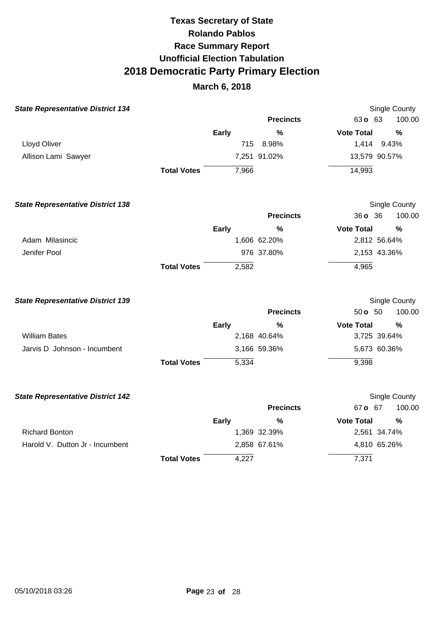| <b>State Representative District 134</b> |                    |              |                  | <b>Single County</b>               |
|------------------------------------------|--------------------|--------------|------------------|------------------------------------|
|                                          |                    |              | <b>Precincts</b> | 100.00<br>63 o 63                  |
|                                          |                    | Early        | $\frac{0}{0}$    | <b>Vote Total</b><br>$\frac{0}{0}$ |
| <b>Lloyd Oliver</b>                      |                    | 715          | 8.98%            | 1,414 9.43%                        |
| Allison Lami Sawyer                      |                    |              | 7,251 91.02%     | 13,579 90.57%                      |
|                                          | <b>Total Votes</b> | 7,966        |                  | 14,993                             |
| <b>State Representative District 138</b> |                    |              |                  | Single County                      |
|                                          |                    |              | <b>Precincts</b> | 36 o 36<br>100.00                  |
|                                          |                    | <b>Early</b> | $\frac{0}{0}$    | <b>Vote Total</b><br>$\frac{0}{0}$ |
| Adam Milasincic                          |                    |              | 1,606 62.20%     | 2,812 56.64%                       |
| Jenifer Pool                             |                    |              | 976 37.80%       | 2,153 43.36%                       |
|                                          | <b>Total Votes</b> | 2,582        |                  | 4,965                              |
| <b>State Representative District 139</b> |                    |              |                  | Single County                      |
|                                          |                    |              | <b>Precincts</b> | 100.00<br>50 <b>o</b> 50           |
|                                          |                    | <b>Early</b> | %                | <b>Vote Total</b><br>%             |
| <b>William Bates</b>                     |                    |              | 2,168 40.64%     | 3,725 39.64%                       |
| Jarvis D Johnson - Incumbent             |                    |              | 3,166 59.36%     | 5,673 60.36%                       |
|                                          | <b>Total Votes</b> | 5,334        |                  | 9,398                              |
| <b>State Representative District 142</b> |                    |              |                  | Single County                      |
|                                          |                    |              | <b>Precincts</b> | 67 o 67<br>100.00                  |
|                                          |                    | <b>Early</b> | $\frac{0}{0}$    | <b>Vote Total</b><br>$\frac{0}{0}$ |
| <b>Richard Bonton</b>                    |                    |              | 1,369 32.39%     | 2,561 34.74%                       |
| Harold V. Dutton Jr - Incumbent          |                    |              | 2,858 67.61%     | 4,810 65.26%                       |
|                                          | <b>Total Votes</b> | 4,227        |                  | 7,371                              |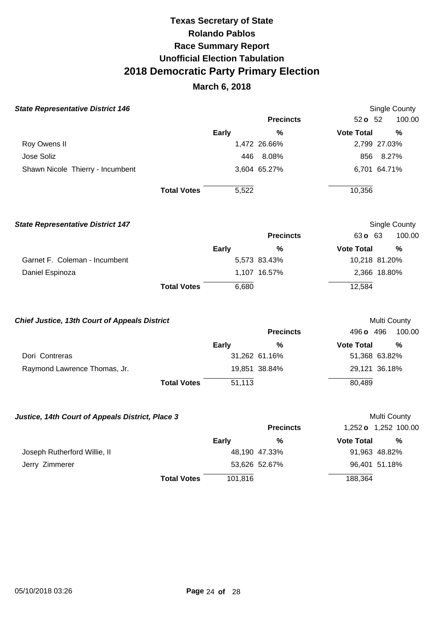| <b>State Representative District 146</b>             |                    |              |                  |                   | <b>Single County</b> |
|------------------------------------------------------|--------------------|--------------|------------------|-------------------|----------------------|
|                                                      |                    |              | <b>Precincts</b> | $52o$ $52$        | 100.00               |
|                                                      |                    | <b>Early</b> | %                | <b>Vote Total</b> | %                    |
| Roy Owens II                                         |                    |              | 1,472 26.66%     |                   | 2,799 27.03%         |
| Jose Soliz                                           |                    | 446          | 8.08%            | 856               | 8.27%                |
| Shawn Nicole Thierry - Incumbent                     |                    |              | 3,604 65.27%     |                   | 6,701 64.71%         |
|                                                      | <b>Total Votes</b> | 5,522        |                  | 10,356            |                      |
| <b>State Representative District 147</b>             |                    |              |                  |                   | Single County        |
|                                                      |                    |              | <b>Precincts</b> | 63 o 63           | 100.00               |
|                                                      |                    | <b>Early</b> | $\frac{0}{0}$    | <b>Vote Total</b> | $\frac{0}{0}$        |
| Garnet F. Coleman - Incumbent                        |                    |              | 5,573 83.43%     |                   | 10,218 81.20%        |
| Daniel Espinoza                                      |                    |              | 1,107 16.57%     |                   | 2,366 18.80%         |
|                                                      | <b>Total Votes</b> | 6,680        |                  | 12,584            |                      |
| <b>Chief Justice, 13th Court of Appeals District</b> |                    |              |                  |                   | Multi County         |
|                                                      |                    |              | <b>Precincts</b> | 496 <b>o</b> 496  | 100.00               |
|                                                      |                    | <b>Early</b> | %                | <b>Vote Total</b> | %                    |
| Dori Contreras                                       |                    |              | 31,262 61.16%    |                   | 51,368 63.82%        |
| Raymond Lawrence Thomas, Jr.                         |                    |              | 19,851 38.84%    |                   | 29,121 36.18%        |
|                                                      | <b>Total Votes</b> | 51,113       |                  | 80,489            |                      |
| Justice, 14th Court of Appeals District, Place 3     |                    |              |                  |                   | Multi County         |
|                                                      |                    |              | <b>Precincts</b> |                   | 1,252 o 1,252 100.00 |

|                              |                    | Early   | %             | <b>Vote Total</b> | %             |
|------------------------------|--------------------|---------|---------------|-------------------|---------------|
| Joseph Rutherford Willie, II |                    |         | 48,190 47.33% |                   | 91,963 48.82% |
| Jerry Zimmerer               |                    |         | 53,626 52.67% |                   | 96,401 51.18% |
|                              | <b>Total Votes</b> | 101.816 |               | 188,364           |               |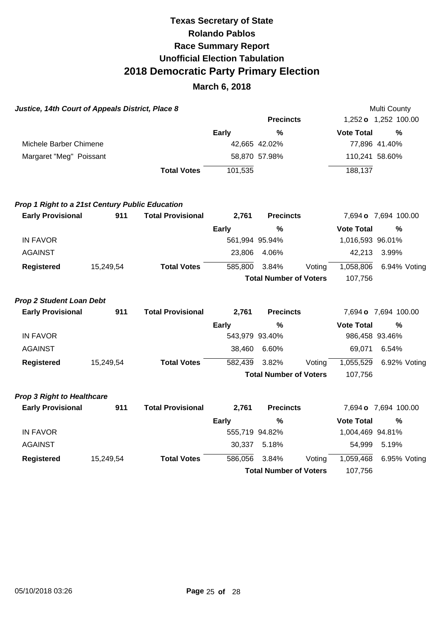| Justice, 14th Court of Appeals District, Place 8       |           |                          |                |                               |        |                   | Multi County         |
|--------------------------------------------------------|-----------|--------------------------|----------------|-------------------------------|--------|-------------------|----------------------|
|                                                        |           |                          |                | <b>Precincts</b>              |        |                   | 1,252 o 1,252 100.00 |
|                                                        |           |                          | <b>Early</b>   | $\frac{0}{0}$                 |        | <b>Vote Total</b> | %                    |
| Michele Barber Chimene                                 |           |                          |                | 42,665 42.02%                 |        |                   | 77,896 41.40%        |
| Margaret "Meg" Poissant                                |           |                          |                | 58,870 57.98%                 |        | 110,241 58.60%    |                      |
|                                                        |           | <b>Total Votes</b>       | 101,535        |                               |        | 188,137           |                      |
| <b>Prop 1 Right to a 21st Century Public Education</b> |           |                          |                |                               |        |                   |                      |
| <b>Early Provisional</b>                               | 911       | <b>Total Provisional</b> | 2,761          | <b>Precincts</b>              |        |                   | 7,694 o 7,694 100.00 |
|                                                        |           |                          | <b>Early</b>   | %                             |        | <b>Vote Total</b> | %                    |
| <b>IN FAVOR</b>                                        |           |                          | 561,994 95.94% |                               |        | 1,016,593 96.01%  |                      |
| <b>AGAINST</b>                                         |           |                          | 23,806         | 4.06%                         |        | 42,213            | 3.99%                |
| <b>Registered</b>                                      | 15,249,54 | <b>Total Votes</b>       | 585,800        | 3.84%                         | Voting | 1,058,806         | 6.94% Voting         |
|                                                        |           |                          |                | <b>Total Number of Voters</b> |        | 107,756           |                      |
| <b>Prop 2 Student Loan Debt</b>                        |           |                          |                |                               |        |                   |                      |
| <b>Early Provisional</b>                               | 911       | <b>Total Provisional</b> | 2,761          | <b>Precincts</b>              |        |                   | 7,694 o 7,694 100.00 |
|                                                        |           |                          | <b>Early</b>   | %                             |        | <b>Vote Total</b> | %                    |
| <b>IN FAVOR</b>                                        |           |                          | 543,979 93.40% |                               |        | 986,458 93.46%    |                      |
| AGAINST                                                |           |                          | 38,460         | 6.60%                         |        | 69,071            | 6.54%                |
| <b>Registered</b>                                      | 15,249,54 | <b>Total Votes</b>       | 582,439        | 3.82%                         | Voting | 1,055,529         | 6.92% Voting         |
|                                                        |           |                          |                | <b>Total Number of Voters</b> |        | 107,756           |                      |
| <b>Prop 3 Right to Healthcare</b>                      |           |                          |                |                               |        |                   |                      |
| <b>Early Provisional</b>                               | 911       | <b>Total Provisional</b> | 2,761          | <b>Precincts</b>              |        |                   | 7,694 o 7,694 100.00 |
|                                                        |           |                          | <b>Early</b>   | %                             |        | <b>Vote Total</b> | %                    |
| <b>IN FAVOR</b>                                        |           |                          | 555,719 94.82% |                               |        | 1,004,469 94.81%  |                      |
| <b>AGAINST</b>                                         |           |                          | 30,337         | 5.18%                         |        | 54,999            | 5.19%                |
| <b>Registered</b>                                      | 15,249,54 | <b>Total Votes</b>       | 586,056        | 3.84%                         | Voting | 1,059,468         | 6.95% Voting         |
|                                                        |           |                          |                | <b>Total Number of Voters</b> |        | 107,756           |                      |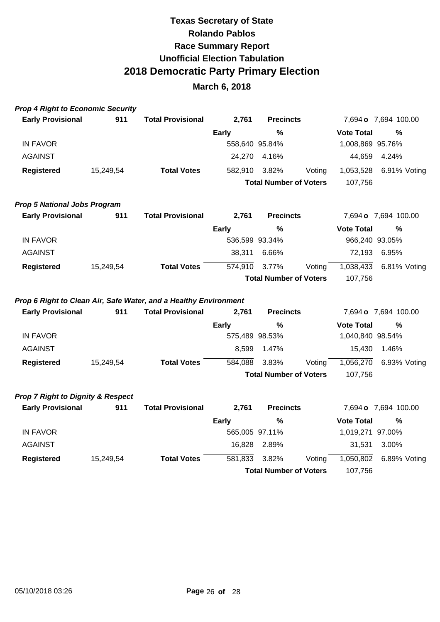| <b>Prop 4 Right to Economic Security</b>     |           |                                                                  |                |                               |        |                   |                      |
|----------------------------------------------|-----------|------------------------------------------------------------------|----------------|-------------------------------|--------|-------------------|----------------------|
| <b>Early Provisional</b>                     | 911       | <b>Total Provisional</b>                                         | 2,761          | <b>Precincts</b>              |        |                   | 7,694 o 7,694 100.00 |
|                                              |           |                                                                  | <b>Early</b>   | $\frac{0}{0}$                 |        | <b>Vote Total</b> | %                    |
| <b>IN FAVOR</b>                              |           |                                                                  | 558,640 95.84% |                               |        | 1,008,869 95.76%  |                      |
| <b>AGAINST</b>                               |           |                                                                  | 24,270         | 4.16%                         |        | 44,659            | 4.24%                |
| <b>Registered</b>                            | 15,249,54 | <b>Total Votes</b>                                               | 582,910        | 3.82%                         | Voting | 1,053,528         | 6.91% Voting         |
|                                              |           |                                                                  |                | <b>Total Number of Voters</b> |        | 107,756           |                      |
| <b>Prop 5 National Jobs Program</b>          |           |                                                                  |                |                               |        |                   |                      |
| <b>Early Provisional</b>                     | 911       | <b>Total Provisional</b>                                         | 2,761          | <b>Precincts</b>              |        |                   | 7,694 o 7,694 100.00 |
|                                              |           |                                                                  | <b>Early</b>   | %                             |        | <b>Vote Total</b> | $\%$                 |
| <b>IN FAVOR</b>                              |           |                                                                  | 536,599 93.34% |                               |        | 966,240 93.05%    |                      |
| <b>AGAINST</b>                               |           |                                                                  | 38,311         | 6.66%                         |        | 72,193            | 6.95%                |
| <b>Registered</b>                            | 15,249,54 | <b>Total Votes</b>                                               | 574,910        | 3.77%                         | Voting | 1,038,433         | 6.81% Voting         |
|                                              |           |                                                                  |                | <b>Total Number of Voters</b> |        | 107,756           |                      |
|                                              |           | Prop 6 Right to Clean Air, Safe Water, and a Healthy Environment |                |                               |        |                   |                      |
| <b>Early Provisional</b>                     | 911       | <b>Total Provisional</b>                                         | 2,761          | <b>Precincts</b>              |        |                   | 7,694 o 7,694 100.00 |
|                                              |           |                                                                  | Early          | $\frac{0}{0}$                 |        | <b>Vote Total</b> | %                    |
| <b>IN FAVOR</b>                              |           |                                                                  | 575,489 98.53% |                               |        | 1,040,840 98.54%  |                      |
| <b>AGAINST</b>                               |           |                                                                  | 8,599          | 1.47%                         |        | 15,430            | 1.46%                |
| <b>Registered</b>                            | 15,249,54 | <b>Total Votes</b>                                               | 584,088        | 3.83%                         | Voting | 1,056,270         | 6.93% Voting         |
|                                              |           |                                                                  |                | <b>Total Number of Voters</b> |        | 107,756           |                      |
| <b>Prop 7 Right to Dignity &amp; Respect</b> |           |                                                                  |                |                               |        |                   |                      |
| <b>Early Provisional</b>                     | 911       | <b>Total Provisional</b>                                         | 2,761          | <b>Precincts</b>              |        |                   | 7,694 o 7,694 100.00 |
|                                              |           |                                                                  | <b>Early</b>   | $\frac{0}{0}$                 |        | <b>Vote Total</b> | ℅                    |
| <b>IN FAVOR</b>                              |           |                                                                  | 565,005 97.11% |                               |        | 1,019,271 97.00%  |                      |
| <b>AGAINST</b>                               |           |                                                                  | 16,828         | 2.89%                         |        | 31,531            | 3.00%                |
| <b>Registered</b>                            | 15,249,54 | <b>Total Votes</b>                                               | 581,833        | 3.82%                         | Voting | 1,050,802         | 6.89% Voting         |
|                                              |           |                                                                  |                | <b>Total Number of Voters</b> |        | 107,756           |                      |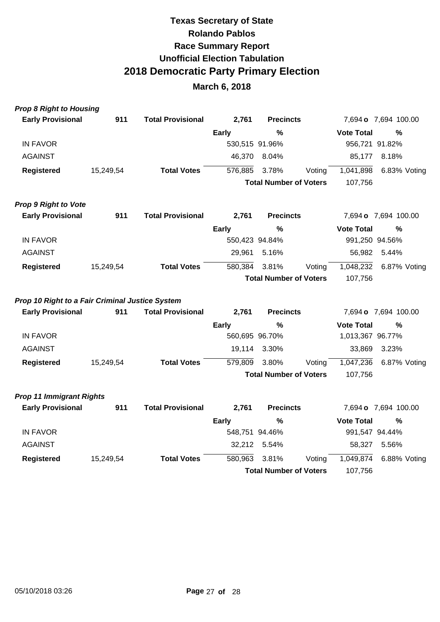| <b>Prop 8 Right to Housing</b>                  |           |                          |                |                               |        |                   |                      |
|-------------------------------------------------|-----------|--------------------------|----------------|-------------------------------|--------|-------------------|----------------------|
| <b>Early Provisional</b>                        | 911       | <b>Total Provisional</b> | 2,761          | <b>Precincts</b>              |        |                   | 7,694 o 7,694 100.00 |
|                                                 |           |                          | Early          | %                             |        | <b>Vote Total</b> | $\%$                 |
| <b>IN FAVOR</b>                                 |           |                          | 530,515 91.96% |                               |        | 956,721 91.82%    |                      |
| <b>AGAINST</b>                                  |           |                          | 46,370         | 8.04%                         |        | 85,177            | 8.18%                |
| <b>Registered</b>                               | 15,249,54 | <b>Total Votes</b>       | 576,885        | 3.78%                         | Voting | 1,041,898         | 6.83% Voting         |
|                                                 |           |                          |                | <b>Total Number of Voters</b> |        | 107,756           |                      |
| <b>Prop 9 Right to Vote</b>                     |           |                          |                |                               |        |                   |                      |
| <b>Early Provisional</b>                        | 911       | <b>Total Provisional</b> | 2,761          | <b>Precincts</b>              |        |                   | 7,694 o 7,694 100.00 |
|                                                 |           |                          | Early          | %                             |        | <b>Vote Total</b> | %                    |
| <b>IN FAVOR</b>                                 |           |                          | 550,423 94.84% |                               |        | 991,250 94.56%    |                      |
| <b>AGAINST</b>                                  |           |                          | 29,961         | 5.16%                         |        | 56,982            | 5.44%                |
| <b>Registered</b>                               | 15,249,54 | <b>Total Votes</b>       | 580,384        | 3.81%                         | Voting | 1,048,232         | 6.87% Voting         |
|                                                 |           |                          |                | <b>Total Number of Voters</b> |        | 107,756           |                      |
| Prop 10 Right to a Fair Criminal Justice System |           |                          |                |                               |        |                   |                      |
| <b>Early Provisional</b>                        | 911       | <b>Total Provisional</b> | 2,761          | <b>Precincts</b>              |        |                   | 7,694 o 7,694 100.00 |
|                                                 |           |                          | <b>Early</b>   | $\frac{0}{0}$                 |        | <b>Vote Total</b> | %                    |
| <b>IN FAVOR</b>                                 |           |                          | 560,695 96.70% |                               |        | 1,013,367 96.77%  |                      |
| AGAINST                                         |           |                          | 19,114         | 3.30%                         |        | 33,869            | 3.23%                |
| <b>Registered</b>                               | 15,249,54 | <b>Total Votes</b>       | 579,809        | 3.80%                         | Voting | 1,047,236         | 6.87% Voting         |
|                                                 |           |                          |                | <b>Total Number of Voters</b> |        | 107,756           |                      |
| <b>Prop 11 Immigrant Rights</b>                 |           |                          |                |                               |        |                   |                      |
| <b>Early Provisional</b>                        | 911       | <b>Total Provisional</b> | 2,761          | <b>Precincts</b>              |        |                   | 7,694 o 7,694 100.00 |
|                                                 |           |                          | <b>Early</b>   | %                             |        | <b>Vote Total</b> | $\%$                 |
| <b>IN FAVOR</b>                                 |           |                          | 548,751 94.46% |                               |        | 991,547 94.44%    |                      |
| <b>AGAINST</b>                                  |           |                          | 32,212         | 5.54%                         |        | 58,327            | 5.56%                |
| <b>Registered</b>                               | 15,249,54 | <b>Total Votes</b>       | 580,963        | 3.81%                         | Voting | 1,049,874         | 6.88% Voting         |
|                                                 |           |                          |                | <b>Total Number of Voters</b> |        | 107,756           |                      |